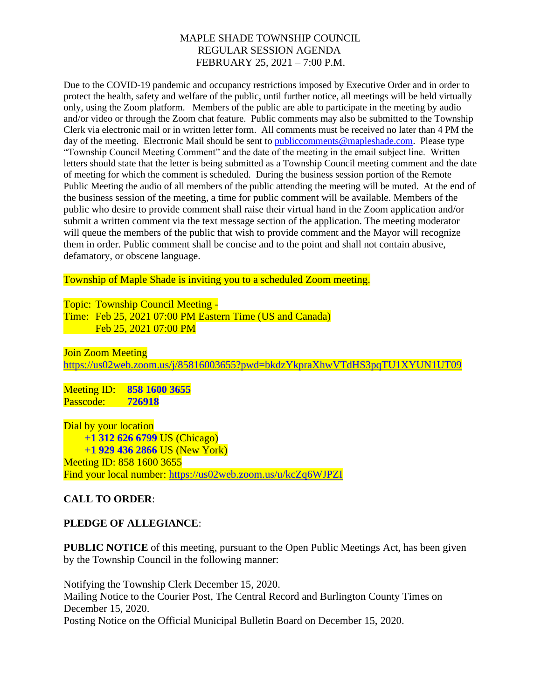## MAPLE SHADE TOWNSHIP COUNCIL REGULAR SESSION AGENDA FEBRUARY 25, 2021 – 7:00 P.M.

Due to the COVID-19 pandemic and occupancy restrictions imposed by Executive Order and in order to protect the health, safety and welfare of the public, until further notice, all meetings will be held virtually only, using the Zoom platform. Members of the public are able to participate in the meeting by audio and/or video or through the Zoom chat feature. Public comments may also be submitted to the Township Clerk via electronic mail or in written letter form. All comments must be received no later than 4 PM the day of the meeting. Electronic Mail should be sent to **publiccomments@mapleshade.com**. Please type "Township Council Meeting Comment" and the date of the meeting in the email subject line. Written letters should state that the letter is being submitted as a Township Council meeting comment and the date of meeting for which the comment is scheduled. During the business session portion of the Remote Public Meeting the audio of all members of the public attending the meeting will be muted. At the end of the business session of the meeting, a time for public comment will be available. Members of the public who desire to provide comment shall raise their virtual hand in the Zoom application and/or submit a written comment via the text message section of the application. The meeting moderator will queue the members of the public that wish to provide comment and the Mayor will recognize them in order. Public comment shall be concise and to the point and shall not contain abusive, defamatory, or obscene language.

Township of Maple Shade is inviting you to a scheduled Zoom meeting.

Topic: Township Council Meeting - Time: Feb 25, 2021 07:00 PM Eastern Time (US and Canada) Feb 25, 2021 07:00 PM

Join Zoom Meeting <https://us02web.zoom.us/j/85816003655?pwd=bkdzYkpraXhwVTdHS3pqTU1XYUN1UT09>

Meeting ID: **858 1600 3655** Passcode: **726918**

Dial by your location **+1 312 626 6799** US (Chicago) **+1 929 436 2866** US (New York) Meeting ID: 858 1600 3655 Find your local number:<https://us02web.zoom.us/u/kcZq6WJPZI>

# **CALL TO ORDER**:

# **PLEDGE OF ALLEGIANCE**:

**PUBLIC NOTICE** of this meeting, pursuant to the Open Public Meetings Act, has been given by the Township Council in the following manner:

Notifying the Township Clerk December 15, 2020. Mailing Notice to the Courier Post, The Central Record and Burlington County Times on December 15, 2020. Posting Notice on the Official Municipal Bulletin Board on December 15, 2020.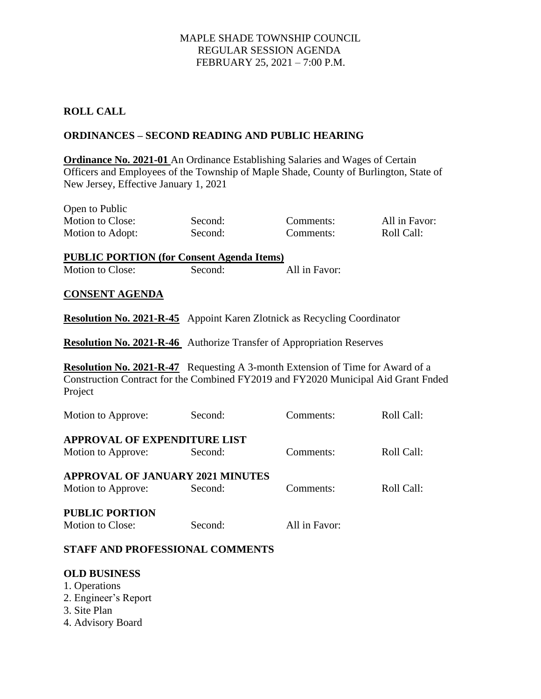## MAPLE SHADE TOWNSHIP COUNCIL REGULAR SESSION AGENDA FEBRUARY 25, 2021 – 7:00 P.M.

## **ROLL CALL**

### **ORDINANCES – SECOND READING AND PUBLIC HEARING**

**Ordinance No. 2021-01** An Ordinance Establishing Salaries and Wages of Certain Officers and Employees of the Township of Maple Shade, County of Burlington, State of New Jersey, Effective January 1, 2021

| Open to Public   |         |           |               |
|------------------|---------|-----------|---------------|
| Motion to Close: | Second: | Comments: | All in Favor: |
| Motion to Adopt: | Second: | Comments: | Roll Call:    |

**PUBLIC PORTION (for Consent Agenda Items)** Motion to Close: Second: All in Favor:

### **CONSENT AGENDA**

**Resolution No. 2021-R-45** Appoint Karen Zlotnick as Recycling Coordinator

**Resolution No. 2021-R-46** Authorize Transfer of Appropriation Reserves

**Resolution No. 2021-R-47** Requesting A 3-month Extension of Time for Award of a Construction Contract for the Combined FY2019 and FY2020 Municipal Aid Grant Fnded Project

| Motion to Approve:                      | Second: | Comments:     | Roll Call: |  |  |
|-----------------------------------------|---------|---------------|------------|--|--|
| <b>APPROVAL OF EXPENDITURE LIST</b>     |         |               |            |  |  |
| Motion to Approve:                      | Second: | Comments:     | Roll Call: |  |  |
| <b>APPROVAL OF JANUARY 2021 MINUTES</b> |         |               |            |  |  |
| Motion to Approve:                      | Second: | Comments:     | Roll Call: |  |  |
| <b>PUBLIC PORTION</b>                   |         |               |            |  |  |
| Motion to Close:                        | Second: | All in Favor: |            |  |  |

### **STAFF AND PROFESSIONAL COMMENTS**

#### **OLD BUSINESS**

- 1. Operations
- 2. Engineer's Report
- 3. Site Plan
- 4. Advisory Board